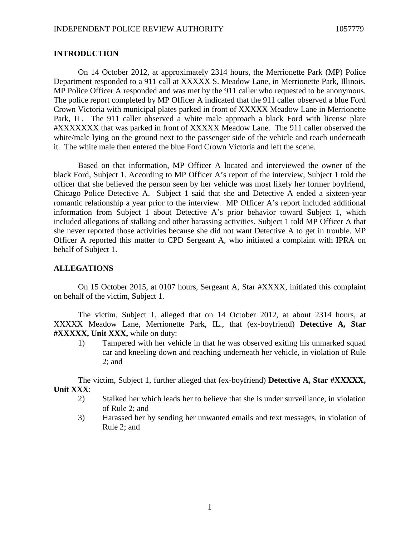## **INTRODUCTION**

On 14 October 2012, at approximately 2314 hours, the Merrionette Park (MP) Police Department responded to a 911 call at XXXXX S. Meadow Lane, in Merrionette Park, Illinois. MP Police Officer A responded and was met by the 911 caller who requested to be anonymous. The police report completed by MP Officer A indicated that the 911 caller observed a blue Ford Crown Victoria with municipal plates parked in front of XXXXX Meadow Lane in Merrionette Park, IL. The 911 caller observed a white male approach a black Ford with license plate #XXXXXXX that was parked in front of XXXXX Meadow Lane. The 911 caller observed the white/male lying on the ground next to the passenger side of the vehicle and reach underneath it. The white male then entered the blue Ford Crown Victoria and left the scene.

Based on that information, MP Officer A located and interviewed the owner of the black Ford, Subject 1. According to MP Officer A's report of the interview, Subject 1 told the officer that she believed the person seen by her vehicle was most likely her former boyfriend, Chicago Police Detective A. Subject 1 said that she and Detective A ended a sixteen-year romantic relationship a year prior to the interview. MP Officer A's report included additional information from Subject 1 about Detective A's prior behavior toward Subject 1, which included allegations of stalking and other harassing activities. Subject 1 told MP Officer A that she never reported those activities because she did not want Detective A to get in trouble. MP Officer A reported this matter to CPD Sergeant A, who initiated a complaint with IPRA on behalf of Subject 1.

## **ALLEGATIONS**

On 15 October 2015, at 0107 hours, Sergeant A, Star #XXXX, initiated this complaint on behalf of the victim, Subject 1.

The victim, Subject 1, alleged that on 14 October 2012, at about 2314 hours, at XXXXX Meadow Lane, Merrionette Park, IL., that (ex-boyfriend) **Detective A, Star #XXXXX, Unit XXX,** while on duty:

1) Tampered with her vehicle in that he was observed exiting his unmarked squad car and kneeling down and reaching underneath her vehicle, in violation of Rule 2; and

The victim, Subject 1, further alleged that (ex-boyfriend) **Detective A, Star #XXXXX, Unit XXX**:

- 2) Stalked her which leads her to believe that she is under surveillance, in violation of Rule 2; and
- 3) Harassed her by sending her unwanted emails and text messages, in violation of Rule 2; and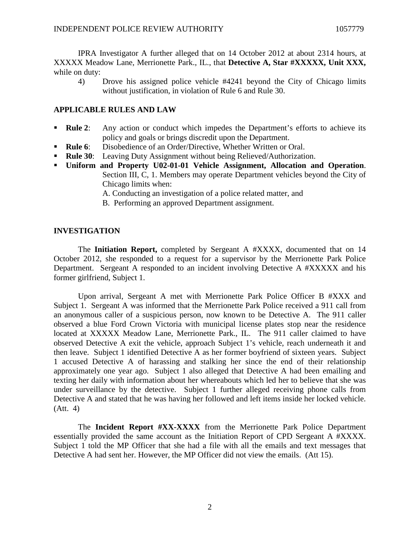IPRA Investigator A further alleged that on 14 October 2012 at about 2314 hours, at XXXXX Meadow Lane, Merrionette Park., IL., that **Detective A, Star #XXXXX, Unit XXX,** while on duty:

4) Drove his assigned police vehicle #4241 beyond the City of Chicago limits without justification, in violation of Rule 6 and Rule 30.

## **APPLICABLE RULES AND LAW**

- **Rule 2:** Any action or conduct which impedes the Department's efforts to achieve its policy and goals or brings discredit upon the Department.
- **Rule 6**: Disobedience of an Order/Directive, Whether Written or Oral.
- **Rule 30:** Leaving Duty Assignment without being Relieved/Authorization.
- **Uniform and Property U02-01-01 Vehicle Assignment, Allocation and Operation**. Section III, C, 1. Members may operate Department vehicles beyond the City of Chicago limits when:
	- A. Conducting an investigation of a police related matter, and
	- B. Performing an approved Department assignment.

#### **INVESTIGATION**

The **Initiation Report,** completed by Sergeant A #XXXX, documented that on 14 October 2012, she responded to a request for a supervisor by the Merrionette Park Police Department. Sergeant A responded to an incident involving Detective A #XXXXX and his former girlfriend, Subject 1.

Upon arrival, Sergeant A met with Merrionette Park Police Officer B #XXX and Subject 1. Sergeant A was informed that the Merrionette Park Police received a 911 call from an anonymous caller of a suspicious person, now known to be Detective A. The 911 caller observed a blue Ford Crown Victoria with municipal license plates stop near the residence located at XXXXX Meadow Lane, Merrionette Park., IL. The 911 caller claimed to have observed Detective A exit the vehicle, approach Subject 1's vehicle, reach underneath it and then leave. Subject 1 identified Detective A as her former boyfriend of sixteen years. Subject 1 accused Detective A of harassing and stalking her since the end of their relationship approximately one year ago. Subject 1 also alleged that Detective A had been emailing and texting her daily with information about her whereabouts which led her to believe that she was under surveillance by the detective. Subject 1 further alleged receiving phone calls from Detective A and stated that he was having her followed and left items inside her locked vehicle. (Att. 4)

The **Incident Report #XX-XXXX** from the Merrionette Park Police Department essentially provided the same account as the Initiation Report of CPD Sergeant A #XXXX. Subject 1 told the MP Officer that she had a file with all the emails and text messages that Detective A had sent her. However, the MP Officer did not view the emails. (Att 15).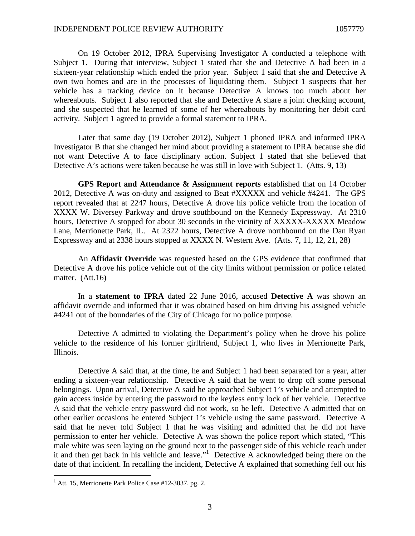On 19 October 2012, IPRA Supervising Investigator A conducted a telephone with Subject 1. During that interview, Subject 1 stated that she and Detective A had been in a sixteen-year relationship which ended the prior year. Subject 1 said that she and Detective A own two homes and are in the processes of liquidating them. Subject 1 suspects that her vehicle has a tracking device on it because Detective A knows too much about her whereabouts. Subject 1 also reported that she and Detective A share a joint checking account, and she suspected that he learned of some of her whereabouts by monitoring her debit card activity. Subject 1 agreed to provide a formal statement to IPRA.

Later that same day (19 October 2012), Subject 1 phoned IPRA and informed IPRA Investigator B that she changed her mind about providing a statement to IPRA because she did not want Detective A to face disciplinary action. Subject 1 stated that she believed that Detective A's actions were taken because he was still in love with Subject 1. (Atts. 9, 13)

**GPS Report and Attendance & Assignment reports** established that on 14 October 2012, Detective A was on-duty and assigned to Beat #XXXXX and vehicle #4241. The GPS report revealed that at 2247 hours, Detective A drove his police vehicle from the location of XXXX W. Diversey Parkway and drove southbound on the Kennedy Expressway. At 2310 hours, Detective A stopped for about 30 seconds in the vicinity of XXXXX-XXXXX Meadow Lane, Merrionette Park, IL. At 2322 hours, Detective A drove northbound on the Dan Ryan Expressway and at 2338 hours stopped at XXXX N. Western Ave. (Atts. 7, 11, 12, 21, 28)

An **Affidavit Override** was requested based on the GPS evidence that confirmed that Detective A drove his police vehicle out of the city limits without permission or police related matter. (Att.16)

In a **statement to IPRA** dated 22 June 2016, accused **Detective A** was shown an affidavit override and informed that it was obtained based on him driving his assigned vehicle #4241 out of the boundaries of the City of Chicago for no police purpose.

Detective A admitted to violating the Department's policy when he drove his police vehicle to the residence of his former girlfriend, Subject 1, who lives in Merrionette Park, Illinois.

Detective A said that, at the time, he and Subject 1 had been separated for a year, after ending a sixteen-year relationship. Detective A said that he went to drop off some personal belongings. Upon arrival, Detective A said he approached Subject 1's vehicle and attempted to gain access inside by entering the password to the keyless entry lock of her vehicle. Detective A said that the vehicle entry password did not work, so he left. Detective A admitted that on other earlier occasions he entered Subject 1's vehicle using the same password. Detective A said that he never told Subject 1 that he was visiting and admitted that he did not have permission to enter her vehicle. Detective A was shown the police report which stated, "This male white was seen laying on the ground next to the passenger side of this vehicle reach under it and then get back in his vehicle and leave."[1](#page-2-0) Detective A acknowledged being there on the date of that incident. In recalling the incident, Detective A explained that something fell out his

<span id="page-2-0"></span> $<sup>1</sup>$  Att. 15, Merrionette Park Police Case #12-3037, pg. 2.</sup>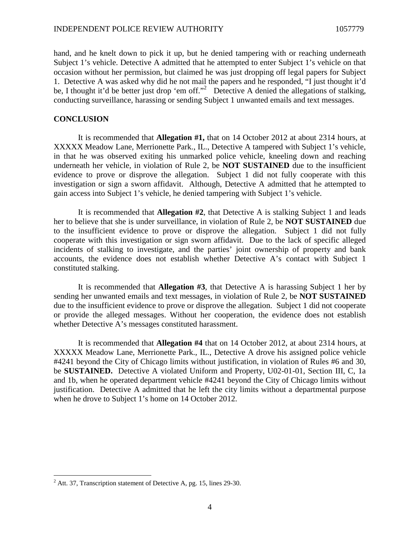hand, and he knelt down to pick it up, but he denied tampering with or reaching underneath Subject 1's vehicle. Detective A admitted that he attempted to enter Subject 1's vehicle on that occasion without her permission, but claimed he was just dropping off legal papers for Subject 1. Detective A was asked why did he not mail the papers and he responded, "I just thought it'd be,I thought it'd be better just drop 'em off."<sup>2</sup> Detective A denied the allegations of stalking, conducting surveillance, harassing or sending Subject 1 unwanted emails and text messages.

### **CONCLUSION**

It is recommended that **Allegation #1,** that on 14 October 2012 at about 2314 hours, at XXXXX Meadow Lane, Merrionette Park., IL., Detective A tampered with Subject 1's vehicle, in that he was observed exiting his unmarked police vehicle, kneeling down and reaching underneath her vehicle, in violation of Rule 2, be **NOT SUSTAINED** due to the insufficient evidence to prove or disprove the allegation. Subject 1 did not fully cooperate with this investigation or sign a sworn affidavit. Although, Detective A admitted that he attempted to gain access into Subject 1's vehicle, he denied tampering with Subject 1's vehicle.

It is recommended that **Allegation #2**, that Detective A is stalking Subject 1 and leads her to believe that she is under surveillance, in violation of Rule 2, be **NOT SUSTAINED** due to the insufficient evidence to prove or disprove the allegation. Subject 1 did not fully cooperate with this investigation or sign sworn affidavit. Due to the lack of specific alleged incidents of stalking to investigate, and the parties' joint ownership of property and bank accounts, the evidence does not establish whether Detective A's contact with Subject 1 constituted stalking.

It is recommended that **Allegation #3**, that Detective A is harassing Subject 1 her by sending her unwanted emails and text messages, in violation of Rule 2, be **NOT SUSTAINED** due to the insufficient evidence to prove or disprove the allegation. Subject 1 did not cooperate or provide the alleged messages. Without her cooperation, the evidence does not establish whether Detective A's messages constituted harassment.

It is recommended that **Allegation #4** that on 14 October 2012, at about 2314 hours, at XXXXX Meadow Lane, Merrionette Park., IL., Detective A drove his assigned police vehicle #4241 beyond the City of Chicago limits without justification, in violation of Rules #6 and 30, be **SUSTAINED.** Detective A violated Uniform and Property, U02-01-01, Section III, C, 1a and 1b, when he operated department vehicle #4241 beyond the City of Chicago limits without justification. Detective A admitted that he left the city limits without a departmental purpose when he drove to Subject 1's home on 14 October 2012.

<span id="page-3-0"></span> $2$  Att. 37, Transcription statement of Detective A, pg. 15, lines 29-30.